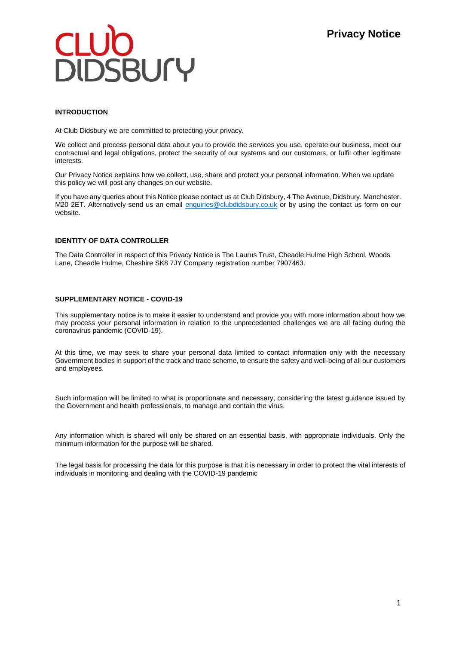## **EUGO**<br>DIDSBUrY

### **INTRODUCTION**

At Club Didsbury we are committed to protecting your privacy.

We collect and process personal data about you to provide the services you use, operate our business, meet our contractual and legal obligations, protect the security of our systems and our customers, or fulfil other legitimate interests.

Our Privacy Notice explains how we collect, use, share and protect your personal information. When we update this policy we will post any changes on our website.

If you have any queries about this Notice please contact us at Club Didsbury, 4 The Avenue, Didsbury. Manchester. M20 2ET. Alternatively send us an email [enquiries@clubdidsbury.co.uk](mailto:enquiries@clubdidsbury.co.uk) or by using the contact us form on our website.

### **IDENTITY OF DATA CONTROLLER**

The Data Controller in respect of this Privacy Notice is The Laurus Trust, Cheadle Hulme High School, Woods Lane, Cheadle Hulme, Cheshire SK8 7JY Company registration number 7907463.

### **SUPPLEMENTARY NOTICE - COVID-19**

This supplementary notice is to make it easier to understand and provide you with more information about how we may process your personal information in relation to the unprecedented challenges we are all facing during the coronavirus pandemic (COVID-19).

At this time, we may seek to share your personal data limited to contact information only with the necessary Government bodies in support of the track and trace scheme, to ensure the safety and well-being of all our customers and employees.

Such information will be limited to what is proportionate and necessary, considering the latest guidance issued by the Government and health professionals, to manage and contain the virus.

Any information which is shared will only be shared on an essential basis, with appropriate individuals. Only the minimum information for the purpose will be shared.

The legal basis for processing the data for this purpose is that it is necessary in order to protect the vital interests of individuals in monitoring and dealing with the COVID-19 pandemic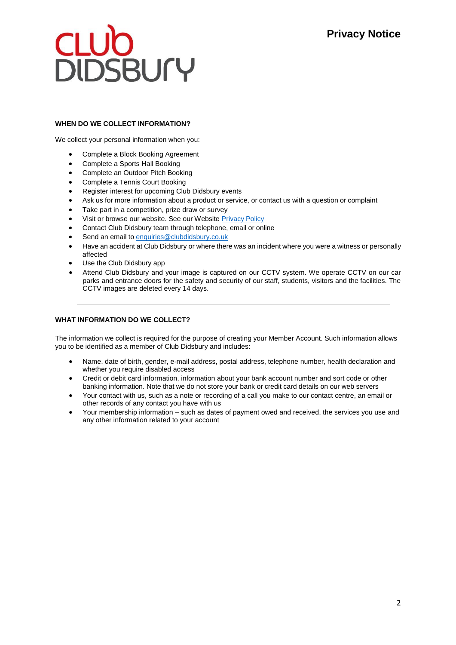# **CLUD<br>DIDSBUrY**

### **WHEN DO WE COLLECT INFORMATION?**

We collect your personal information when you:

- Complete a Block Booking Agreement
- Complete a Sports Hall Booking
- Complete an Outdoor Pitch Booking
- Complete a Tennis Court Booking
- Register interest for upcoming Club Didsbury events
- Ask us for more information about a product or service, or contact us with a question or complaint
- Take part in a competition, prize draw or survey
- Visit or browse our website. See our Website Privacy Policy
- Contact Club Didsbury team through telephone, email or online
- Send an email to [enquiries@clubdidsbury.co.uk](mailto:enquiries@clubdidsbury.co.uk)
- Have an accident at Club Didsbury or where there was an incident where you were a witness or personally affected
- Use the Club Didsbury app
- Attend Club Didsbury and your image is captured on our CCTV system. We operate CCTV on our car parks and entrance doors for the safety and security of our staff, students, visitors and the facilities. The CCTV images are deleted every 14 days.

### **WHAT INFORMATION DO WE COLLECT?**

The information we collect is required for the purpose of creating your Member Account. Such information allows you to be identified as a member of Club Didsbury and includes:

- Name, date of birth, gender, e-mail address, postal address, telephone number, health declaration and whether you require disabled access
- Credit or debit card information, information about your bank account number and sort code or other banking information. Note that we do not store your bank or credit card details on our web servers
- Your contact with us, such as a note or recording of a call you make to our contact centre, an email or other records of any contact you have with us
- Your membership information such as dates of payment owed and received, the services you use and any other information related to your account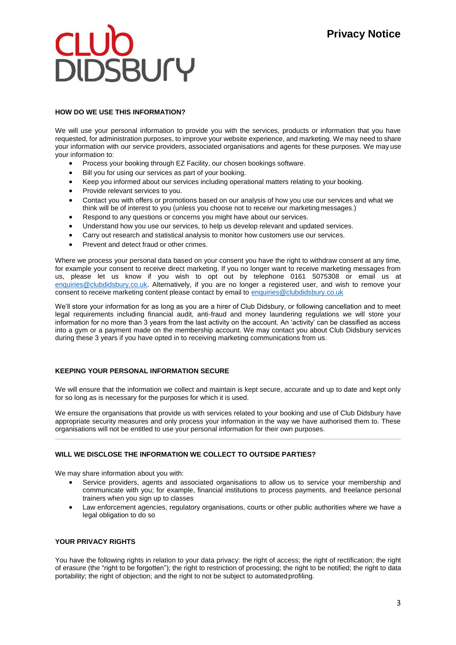## **EUGO**

### **HOW DO WE USE THIS INFORMATION?**

We will use your personal information to provide you with the services, products or information that you have requested, for administration purposes, to improve your website experience, and marketing. We may need to share your information with our service providers, associated organisations and agents for these purposes. We may use your information to:

- Process your booking through EZ Facility, our chosen bookings software.
- Bill you for using our services as part of your booking.
- Keep you informed about our services including operational matters relating to your booking.
- Provide relevant services to you.
- Contact you with offers or promotions based on our analysis of how you use our services and what we think will be of interest to you (unless you choose not to receive our marketing messages.)
- Respond to any questions or concerns you might have about our services.
- Understand how you use our services, to help us develop relevant and updated services.
- Carry out research and statistical analysis to monitor how customers use our services.
- Prevent and detect fraud or other crimes.

Where we process your personal data based on your consent you have the right to withdraw consent at any time, for example your consent to receive direct marketing. If you no longer want to receive marketing messages from us, please let us know if you wish to opt out by telephone 0161 5075308 or email us at [enquiries@clubdidsbury.co.uk.](mailto:enquiries@clubdidsbury.co.uk) Alternatively, if you are no longer a registered user, and wish to remove your consent to receive marketing content please contact by email to [enquiries@clubdidsbury.co.uk](mailto:enquiries@clubdidsbury.co.uk)

We'll store your information for as long as you are a hirer of Club Didsbury, or following cancellation and to meet legal requirements including financial audit, anti-fraud and money laundering regulations we will store your information for no more than 3 years from the last activity on the account. An 'activity' can be classified as access into a gym or a payment made on the membership account. We may contact you about Club Didsbury services during these 3 years if you have opted in to receiving marketing communications from us.

### **KEEPING YOUR PERSONAL INFORMATION SECURE**

We will ensure that the information we collect and maintain is kept secure, accurate and up to date and kept only for so long as is necessary for the purposes for which it is used.

We ensure the organisations that provide us with services related to your booking and use of Club Didsbury have appropriate security measures and only process your information in the way we have authorised them to. These organisations will not be entitled to use your personal information for their own purposes.

### **WILL WE DISCLOSE THE INFORMATION WE COLLECT TO OUTSIDE PARTIES?**

We may share information about you with:

- Service providers, agents and associated organisations to allow us to service your membership and communicate with you; for example, financial institutions to process payments, and freelance personal trainers when you sign up to classes
- Law enforcement agencies, regulatory organisations, courts or other public authorities where we have a legal obligation to do so

### **YOUR PRIVACY RIGHTS**

You have the following rights in relation to your data privacy: the right of access; the right of rectification; the right of erasure (the "right to be forgotten"); the right to restriction of processing; the right to be notified; the right to data portability; the right of objection; and the right to not be subject to automatedprofiling.